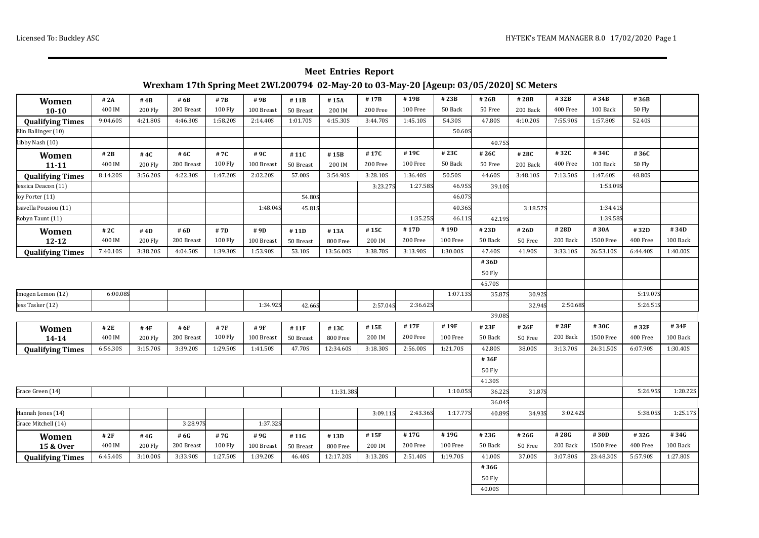### **Meet Entries Report**

### **Wrexham 17th Spring Meet 2WL200794 02-May-20 to 03-May-20 [Ageup: 03/05/2020] SC Meters**

| Women                   | # 2A     | #4B            | # 6B       | # 7B           | #9B        | #11B      | #15A      | #17B     | #19B     | #23B     | #26B          | #28B     | #32B     | #34B      | #36B          |          |
|-------------------------|----------|----------------|------------|----------------|------------|-----------|-----------|----------|----------|----------|---------------|----------|----------|-----------|---------------|----------|
| $10 - 10$               | 400 IM   | <b>200 Fly</b> | 200 Breast | <b>100 Fly</b> | 100 Breast | 50 Breast | 200 IM    | 200 Free | 100 Free | 50 Back  | 50 Free       | 200 Back | 400 Free | 100 Back  | <b>50 Fly</b> |          |
| <b>Qualifying Times</b> | 9:04.60S | 4:21.80S       | 4:46.30S   | 1:58.20S       | 2:14.40S   | 1:01.70S  | 4:15.30S  | 3:44.70S | 1:45.10S | 54.30S   | 47.80S        | 4:10.20S | 7:55.90S | 1:57.80S  | 52.40S        |          |
| Elin Ballinger (10)     |          |                |            |                |            |           |           |          |          | 50.60S   |               |          |          |           |               |          |
| Libby Nash (10)         |          |                |            |                |            |           |           |          |          |          | 40.75S        |          |          |           |               |          |
| Women                   | # 2B     | #4C            | # 6C       | #7C            | #9C        | #11C      | #15B      | #17C     | #19C     | #23C     | #26C          | #28C     | #32C     | #34C      | #36C          |          |
| $11 - 11$               | 400 IM   | <b>200 Fly</b> | 200 Breast | <b>100 Fly</b> | 100 Breast | 50 Breast | 200 IM    | 200 Free | 100 Free | 50 Back  | 50 Free       | 200 Back | 400 Free | 100 Back  | <b>50 Fly</b> |          |
| <b>Qualifying Times</b> | 8:14.20S | 3:56.20S       | 4:22.30S   | 1:47.20S       | 2:02.20S   | 57.00S    | 3:54.90S  | 3:28.10S | 1:36.40S | 50.50S   | 44.60S        | 3:48.10S | 7:13.50S | 1:47.60S  | 48.80S        |          |
| Jessica Deacon (11)     |          |                |            |                |            |           |           | 3:23.275 | 1:27.58S | 46.95S   | 39.10S        |          |          | 1:53.09S  |               |          |
| Joy Porter (11)         |          |                |            |                |            | 54.80S    |           |          |          | 46.07S   |               |          |          |           |               |          |
| Isavella Pousiou (11)   |          |                |            |                | 1:48.045   | 45.81S    |           |          |          | 40.36S   |               | 3:18.57S |          | 1:34.415  |               |          |
| Robyn Taunt (11)        |          |                |            |                |            |           |           |          | 1:35.25S | 46.11S   | 42.19S        |          |          | 1:39.585  |               |          |
| Women                   | # 2C     | #4D            | # 6D       | # 7D           | # 9D       | #11D      | #13A      | #15C     | #17D     | #19D     | #23D          | #26D     | #28D     | #30A      | #32D          | #34D     |
| $12 - 12$               | 400 IM   | <b>200 Fly</b> | 200 Breast | <b>100 Fly</b> | 100 Breast | 50 Breast | 800 Free  | 200 IM   | 200 Free | 100 Free | 50 Back       | 50 Free  | 200 Back | 1500 Free | 400 Free      | 100 Back |
| <b>Qualifying Times</b> | 7:40.10S | 3:38.20S       | 4:04.50S   | 1:39.30S       | 1:53.90S   | 53.10S    | 13:56.00S | 3:38.70S | 3:13.90S | 1:30.00S | 47.40S        | 41.90S   | 3:33.10S | 26:53.10S | 6:44.40S      | 1:40.00S |
|                         |          |                |            |                |            |           |           |          |          |          | #36D          |          |          |           |               |          |
|                         |          |                |            |                |            |           |           |          |          |          | <b>50 Fly</b> |          |          |           |               |          |
|                         |          |                |            |                |            |           |           |          |          |          | 45.70S        |          |          |           |               |          |
| Imogen Lemon (12)       | 6:00.08S |                |            |                |            |           |           |          |          | 1:07.13S | 35.87S        | 30.92S   |          |           | 5:19.07S      |          |
| Jess Tasker (12)        |          |                |            |                | 1:34.92S   | 42.66S    |           | 2:57.04S | 2:36.625 |          |               | 32.94S   | 2:50.685 |           | 5:26.515      |          |
|                         |          |                |            |                |            |           |           |          |          |          | 39.08S        |          |          |           |               |          |
| Women                   | # 2E     | # $4F$         | # 6F       | # 7F           | #9F        | #11F      | #13C      | #15E     | #17F     | #19F     | #23F          | #26F     | #28F     | #30C      | #32F          | #34F     |
| $14 - 14$               | 400 IM   | <b>200 Fly</b> | 200 Breast | <b>100 Fly</b> | 100 Breast | 50 Breast | 800 Free  | 200 IM   | 200 Free | 100 Free | 50 Back       | 50 Free  | 200 Back | 1500 Free | 400 Free      | 100 Back |
| <b>Qualifying Times</b> | 6:56.30S | 3:15.70S       | 3:39.20S   | 1:29.50S       | 1:41.50S   | 47.70S    | 12:34.60S | 3:18.30S | 2:56.00S | 1:21.705 | 42.80S        | 38.00S   | 3:13.70S | 24:31.50S | 6:07.90S      | 1:30.40S |
|                         |          |                |            |                |            |           |           |          |          |          | #36F          |          |          |           |               |          |
|                         |          |                |            |                |            |           |           |          |          |          | <b>50 Fly</b> |          |          |           |               |          |
|                         |          |                |            |                |            |           |           |          |          |          | 41.30S        |          |          |           |               |          |
| Grace Green (14)        |          |                |            |                |            |           | 11:31.38S |          |          | 1:10.05S | 36.22S        | 31.87S   |          |           | 5:26.955      | 1:20.22S |
|                         |          |                |            |                |            |           |           |          |          |          | 36.04S        |          |          |           |               |          |
| Hannah Jones (14)       |          |                |            |                |            |           |           | 3:09.11S | 2:43.36S | 1:17.775 | 40.89S        | 34.93S   | 3:02.42S |           | 5:38.055      | 1:25.17S |
| Grace Mitchell (14)     |          |                | 3:28.975   |                | 1:37.325   |           |           |          |          |          |               |          |          |           |               |          |
| Women                   | #2F      | #4G            | # 6G       | #7G            | #9G        | #11G      | #13D      | #15F     | #17G     | #19G     | #23G          | #26G     | #28G     | #30D      | #32G          | #34G     |
| 15 & Over               | 400 IM   | <b>200 Fly</b> | 200 Breast | 100 Fly        | 100 Breast | 50 Breast | 800 Free  | 200 IM   | 200 Free | 100 Free | 50 Back       | 50 Free  | 200 Back | 1500 Free | 400 Free      | 100 Back |
| <b>Qualifying Times</b> | 6:45.40S | 3:10.00S       | 3:33.90S   | 1:27.50S       | 1:39.20S   | 46.40S    | 12:17.20S | 3:13.20S | 2:51.40S | 1:19.70S | 41.00S        | 37.00S   | 3:07.80S | 23:48.30S | 5:57.90S      | 1:27.80S |
|                         |          |                |            |                |            |           |           |          |          |          | #36G          |          |          |           |               |          |
|                         |          |                |            |                |            |           |           |          |          |          | <b>50 Fly</b> |          |          |           |               |          |
|                         |          |                |            |                |            |           |           |          |          |          | 40.00S        |          |          |           |               |          |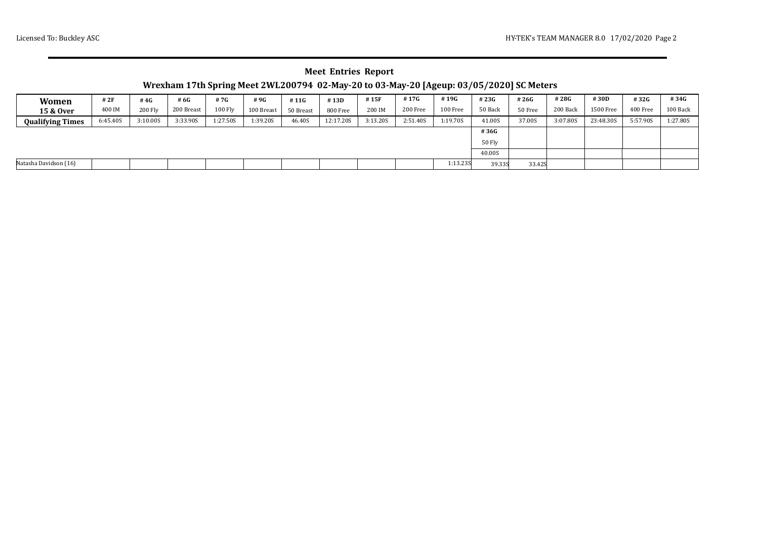## **Meet Entries Report**

# **Wrexham 17th Spring Meet 2WL200794 02-May-20 to 03-May-20 [Ageup: 03/05/2020] SC Meters**

| Women                   | # 2F     | #4 $G$         | # 6G       | #7G      | #9G        | #11G      | #13D      | #15F     | #17G     | #19G     | #23G    | #26G    | #28G     | #30D      | #32G     | #34G     |
|-------------------------|----------|----------------|------------|----------|------------|-----------|-----------|----------|----------|----------|---------|---------|----------|-----------|----------|----------|
| 15 & Over               | 400 IM   | <b>200 Fly</b> | 200 Breast | 100 Fly  | 100 Breast | 50 Breast | 800 Free  | 200 IM   | 200 Free | 100 Free | 50 Back | 50 Free | 200 Back | 1500 Free | 400 Free | 100 Back |
| <b>Qualifying Times</b> | 6:45.40S | 3:10.00S       | 3:33.90S   | 1:27.50S | 1:39.20S   | 46.40S    | 12:17.20S | 3:13.20S | 2:51.40S | 1:19.70S | 41.00S  | 37.00S  | 3:07.80S | 23:48.30S | 5:57.90S | 1:27.80S |
|                         |          |                |            |          |            |           |           |          |          |          | #36G    |         |          |           |          |          |
|                         |          |                |            |          |            |           |           |          |          |          | 50 Fly  |         |          |           |          |          |
|                         |          |                |            |          |            |           |           |          |          |          | 40.00S  |         |          |           |          |          |
| Natasha Davidson (16)   |          |                |            |          |            |           |           |          |          | 1:13.235 | 39.33S  | 33.42S  |          |           |          |          |